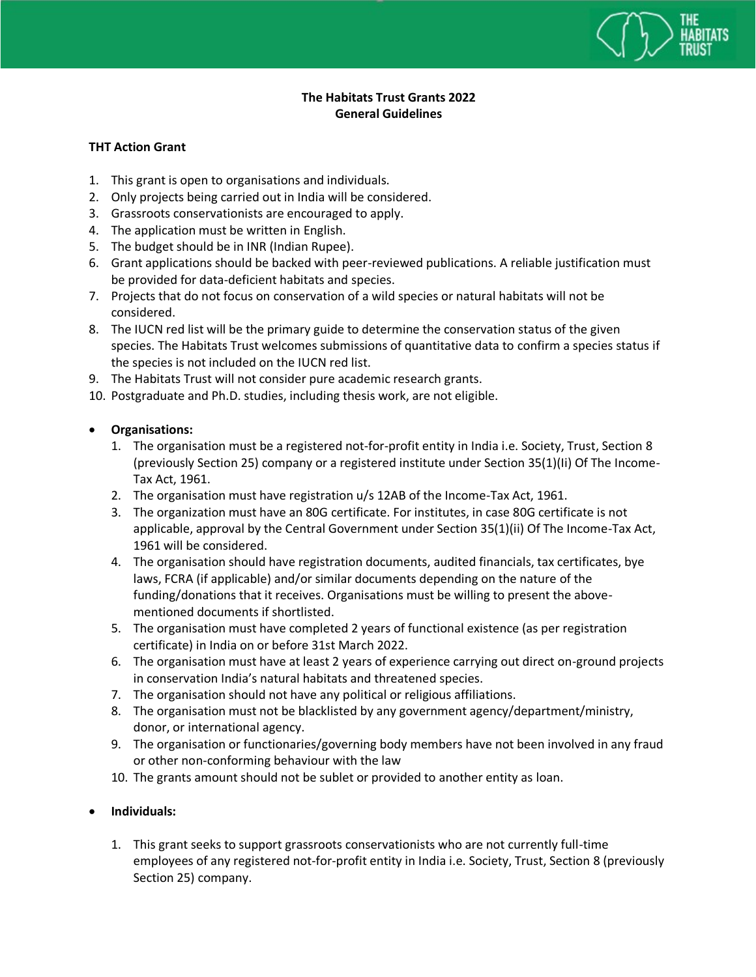

## **The Habitats Trust Grants 2022 General Guidelines**

## **THT Action Grant**

- 1. This grant is open to organisations and individuals.
- 2. Only projects being carried out in India will be considered.
- 3. Grassroots conservationists are encouraged to apply.
- 4. The application must be written in English.
- 5. The budget should be in INR (Indian Rupee).
- 6. Grant applications should be backed with peer-reviewed publications. A reliable justification must be provided for data-deficient habitats and species.
- 7. Projects that do not focus on conservation of a wild species or natural habitats will not be considered.
- 8. The IUCN red list will be the primary guide to determine the conservation status of the given species. The Habitats Trust welcomes submissions of quantitative data to confirm a species status if the species is not included on the IUCN red list.
- 9. The Habitats Trust will not consider pure academic research grants.
- 10. Postgraduate and Ph.D. studies, including thesis work, are not eligible.

## **Organisations:**

- 1. The organisation must be a registered not-for-profit entity in India i.e. Society, Trust, Section 8 (previously Section 25) company or a registered institute under Section 35(1)(Ii) Of The Income-Tax Act, 1961.
- 2. The organisation must have registration u/s 12AB of the Income-Tax Act, 1961.
- 3. The organization must have an 80G certificate. For institutes, in case 80G certificate is not applicable, approval by the Central Government under Section 35(1)(ii) Of The Income-Tax Act, 1961 will be considered.
- 4. The organisation should have registration documents, audited financials, tax certificates, bye laws, FCRA (if applicable) and/or similar documents depending on the nature of the funding/donations that it receives. Organisations must be willing to present the abovementioned documents if shortlisted.
- 5. The organisation must have completed 2 years of functional existence (as per registration certificate) in India on or before 31st March 2022.
- 6. The organisation must have at least 2 years of experience carrying out direct on-ground projects in conservation India's natural habitats and threatened species.
- 7. The organisation should not have any political or religious affiliations.
- 8. The organisation must not be blacklisted by any government agency/department/ministry, donor, or international agency.
- 9. The organisation or functionaries/governing body members have not been involved in any fraud or other non-conforming behaviour with the law
- 10. The grants amount should not be sublet or provided to another entity as loan.

## **Individuals:**

1. This grant seeks to support grassroots conservationists who are not currently full-time employees of any registered not-for-profit entity in India i.e. Society, Trust, Section 8 (previously Section 25) company.